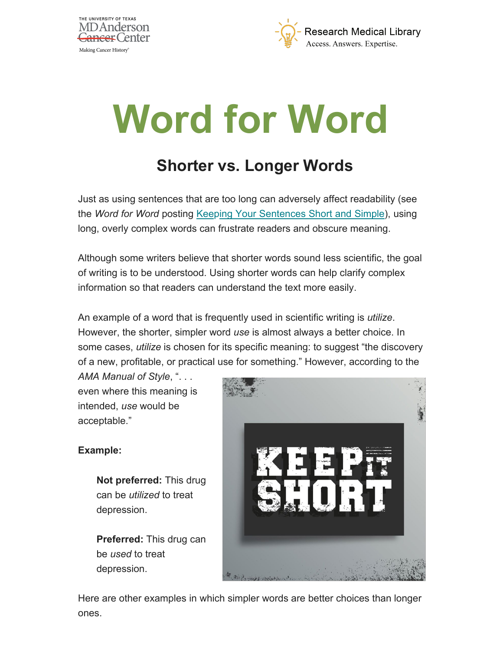



## **Word for Word**

## **Shorter vs. Longer Words**

Just as using sentences that are too long can adversely affect readability (see the *Word for Word* posting [Keeping Your Sentences Short and Simple\)](http://inside2.mdanderson.org/w4w/2020/04/keeping-your-sentences-short-a.html), using long, overly complex words can frustrate readers and obscure meaning.

Although some writers believe that shorter words sound less scientific, the goal of writing is to be understood. Using shorter words can help clarify complex information so that readers can understand the text more easily.

An example of a word that is frequently used in scientific writing is *utilize*. However, the shorter, simpler word *use* is almost always a better choice. In some cases, *utilize* is chosen for its specific meaning: to suggest "the discovery of a new, profitable, or practical use for something." However, according to the

*AMA Manual of Style*, ". . . even where this meaning is intended, *use* would be acceptable."

## **Example:**

**Not preferred:** This drug can be *utilized* to treat depression.

**Preferred:** This drug can be *used* to treat depression.



Here are other examples in which simpler words are better choices than longer ones.